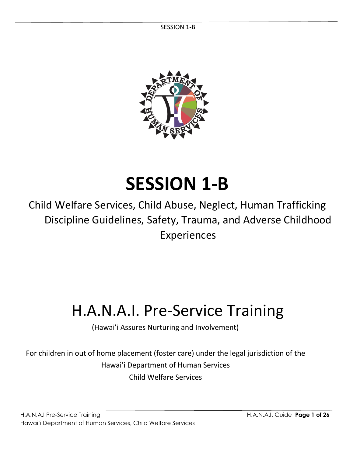SESSION 1-B



# **SESSION 1-B**

Child Welfare Services, Child Abuse, Neglect, Human Trafficking Discipline Guidelines, Safety, Trauma, and Adverse Childhood Experiences

# H.A.N.A.I. Pre-Service Training

(Hawai'i Assures Nurturing and Involvement)

For children in out of home placement (foster care) under the legal jurisdiction of the Hawai'i Department of Human Services Child Welfare Services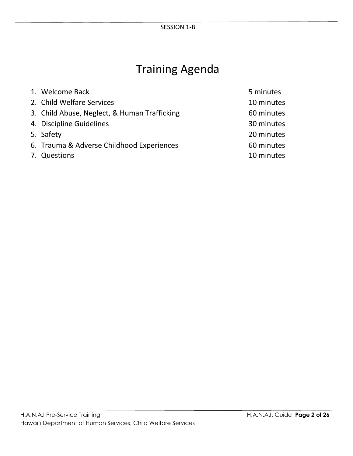## Training Agenda

| 1. Welcome Back                              | 5 minutes  |
|----------------------------------------------|------------|
| 2. Child Welfare Services                    | 10 minutes |
| 3. Child Abuse, Neglect, & Human Trafficking | 60 minutes |
| 4. Discipline Guidelines                     | 30 minutes |
| 5. Safety                                    | 20 minutes |
| 6. Trauma & Adverse Childhood Experiences    | 60 minutes |
| 7. Questions                                 | 10 minutes |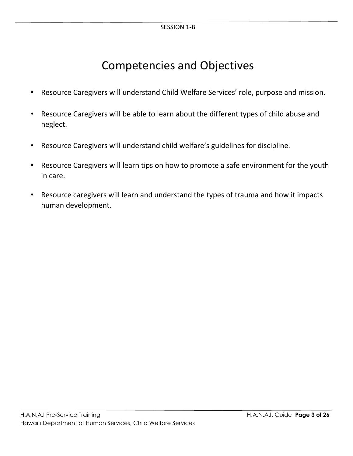### Competencies and Objectives

- Resource Caregivers will understand Child Welfare Services' role, purpose and mission.
- Resource Caregivers will be able to learn about the different types of child abuse and neglect.
- Resource Caregivers will understand child welfare's guidelines for discipline.
- Resource Caregivers will learn tips on how to promote a safe environment for the youth in care.
- Resource caregivers will learn and understand the types of trauma and how it impacts human development.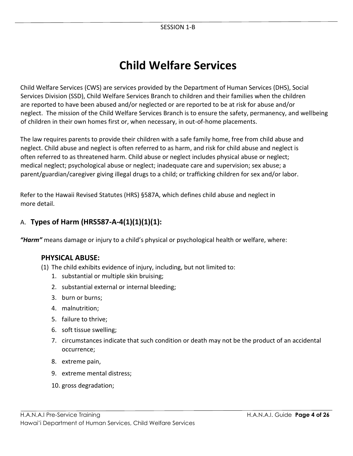### **Child Welfare Services**

Child Welfare Services (CWS) are services provided by the Department of Human Services (DHS), Social Services Division (SSD), Child Welfare Services Branch to children and their families when the children are reported to have been abused and/or neglected or are reported to be at risk for abuse and/or neglect. The mission of the Child Welfare Services Branch is to ensure the safety, permanency, and wellbeing of children in their own homes first or, when necessary, in out-of-home placements.

The law requires parents to provide their children with a safe family home, free from child abuse and neglect. Child abuse and neglect is often referred to as harm, and risk for child abuse and neglect is often referred to as threatened harm. Child abuse or neglect includes physical abuse or neglect; medical neglect; psychological abuse or neglect; inadequate care and supervision; sex abuse; a parent/guardian/caregiver giving illegal drugs to a child; or trafficking children for sex and/or labor.

Refer to the Hawaii Revised Statutes (HRS) §587A, which defines child abuse and neglect in more detail.

### A. **Types of Harm (HRS587-A-4(1)(1)(1)(1):**

*"Harm"* means damage or injury to a child's physical or psychological health or welfare, where:

### **PHYSICAL ABUSE:**

- (1) The child exhibits evidence of injury, including, but not limited to:
	- 1. substantial or multiple skin bruising;
	- 2. substantial external or internal bleeding;
	- 3. burn or burns;
	- 4. malnutrition;
	- 5. failure to thrive;
	- 6. soft tissue swelling;
	- 7. circumstances indicate that such condition or death may not be the product of an accidental occurrence;
	- 8. extreme pain,
	- 9. extreme mental distress;
	- 10. gross degradation;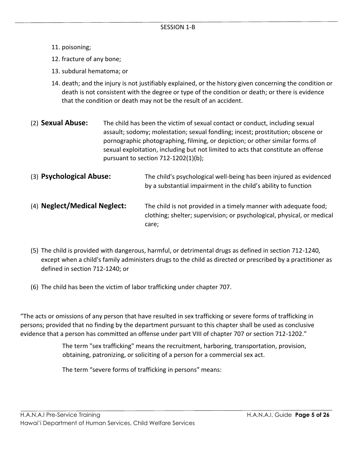- 11. poisoning;
- 12. fracture of any bone;
- 13. subdural hematoma; or
- 14. death; and the injury is not justifiably explained, or the history given concerning the condition or death is not consistent with the degree or type of the condition or death; or there is evidence that the condition or death may not be the result of an accident.
- (2) **Sexual Abuse:** The child has been the victim of sexual contact or conduct, including sexual assault; sodomy; molestation; sexual fondling; incest; prostitution; obscene or pornographic photographing, filming, or depiction; or other similar forms of sexual exploitation, including but not limited to acts that constitute an offense pursuant to section 712-1202(1)(b);
- (3) **Psychological Abuse:** The child's psychological well-being has been injured as evidenced by a substantial impairment in the child's ability to function
- (4) **Neglect/Medical Neglect:** The child is not provided in a timely manner with adequate food; clothing; shelter; supervision; or psychological, physical, or medical care;
- (5) The child is provided with dangerous, harmful, or detrimental drugs as defined in section 712-1240, except when a child's family administers drugs to the child as directed or prescribed by a practitioner as defined in section 712-1240; or
- (6) The child has been the victim of labor trafficking under chapter 707.

"The acts or omissions of any person that have resulted in sex trafficking or severe forms of trafficking in persons; provided that no finding by the department pursuant to this chapter shall be used as conclusive evidence that a person has committed an offense under part VIII of chapter 707 or section 712-1202."

> The term "sex trafficking" means the recruitment, harboring, transportation, provision, obtaining, patronizing, or soliciting of a person for a commercial sex act.

The term "severe forms of trafficking in persons" means: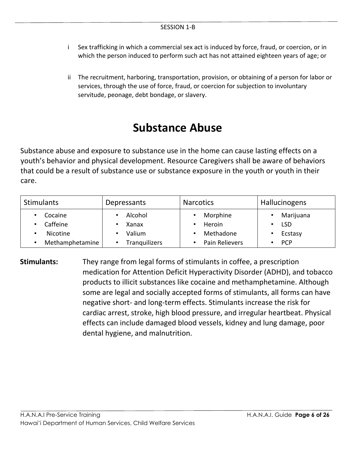- i Sex trafficking in which a commercial sex act is induced by force, fraud, or coercion, or in which the person induced to perform such act has not attained eighteen years of age; or
- ii The recruitment, harboring, transportation, provision, or obtaining of a person for labor or services, through the use of force, fraud, or coercion for subjection to involuntary servitude, peonage, debt bondage, or slavery.

### **Substance Abuse**

Substance abuse and exposure to substance use in the home can cause lasting effects on a youth's behavior and physical development. Resource Caregivers shall be aware of behaviors that could be a result of substance use or substance exposure in the youth or youth in their care.

| <b>Stimulants</b> | Depressants          | <b>Narcotics</b> | <b>Hallucinogens</b> |
|-------------------|----------------------|------------------|----------------------|
| Cocaine           | Alcohol              | Morphine         | Marijuana            |
| Caffeine          | Xanax                | Heroin           | <b>LSD</b>           |
| Nicotine          | Valium               | Methadone        | Ecstasy              |
| Methamphetamine   | <b>Tranguilizers</b> | Pain Relievers   | <b>PCP</b>           |

**Stimulants:** They range from legal forms of stimulants in coffee, a prescription medication for Attention Deficit Hyperactivity Disorder (ADHD), and tobacco products to illicit substances like cocaine and methamphetamine. Although some are legal and socially accepted forms of stimulants, all forms can have negative short- and long-term effects. Stimulants increase the risk for cardiac arrest, stroke, high blood pressure, and irregular heartbeat. Physical effects can include damaged blood vessels, kidney and lung damage, poor dental hygiene, and malnutrition.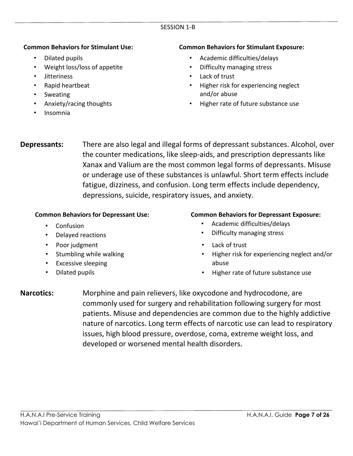#### SESSION 1-B

#### **Common Behaviors for Stimulant Use:**

- Dilated pupils
- Weight loss/loss of appetite
- Jitteriness
- Rapid heartbeat
- Sweating
- Anxiety/racing thoughts
- Insomnia

#### **Common Behaviors for Stimulant Exposure:**

- Academic difficulties/delays
- Difficulty managing stress
- Lack of trust
- Higher risk for experiencing neglect and/or abuse
- Higher rate of future substance use

**Depressants:** There are also legal and illegal forms of depressant substances. Alcohol, over the counter medications, like sleep-aids, and prescription depressants like Xanax and Valium are the most common legal forms of depressants. Misuse or underage use of these substances is unlawful. Short term effects include fatigue, dizziness, and confusion. Long term effects include dependency, depressions, suicide, respiratory issues, and anxiety.

#### **Common Behaviors for Depressant Use:**

- Confusion
- Delayed reactions
- Poor judgment
- Stumbling while walking
- Excessive sleeping
- Dilated pupils

#### **Common Behaviors for Depressant Exposure:**

- Academic difficulties/delays
- Difficulty managing stress
- Lack of trust
- Higher risk for experiencing neglect and/or abuse
- Higher rate of future substance use

**Narcotics:** Morphine and pain relievers, like oxycodone and hydrocodone, are commonly used for surgery and rehabilitation following surgery for most patients. Misuse and dependencies are common due to the highly addictive nature of narcotics. Long term effects of narcotic use can lead to respiratory issues, high blood pressure, overdose, coma, extreme weight loss, and developed or worsened mental health disorders.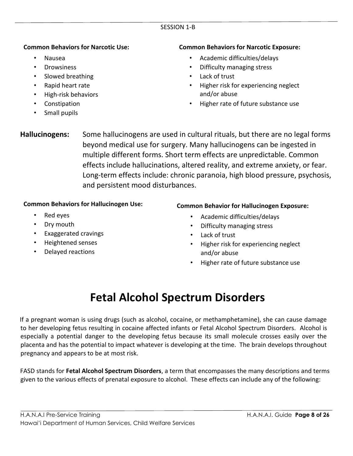#### SESSION 1-B

#### **Common Behaviors for Narcotic Use:**

- Nausea
- Drowsiness
- Slowed breathing
- Rapid heart rate
- High-risk behaviors
- Constipation
- Small pupils

#### **Common Behaviors for Narcotic Exposure:**

- Academic difficulties/delays
- Difficulty managing stress
- Lack of trust
- Higher risk for experiencing neglect and/or abuse
- Higher rate of future substance use
- **Hallucinogens:** Some hallucinogens are used in cultural rituals, but there are no legal forms beyond medical use for surgery. Many hallucinogens can be ingested in multiple different forms. Short term effects are unpredictable. Common effects include hallucinations, altered reality, and extreme anxiety, or fear. Long-term effects include: chronic paranoia, high blood pressure, psychosis, and persistent mood disturbances.

#### **Common Behaviors for Hallucinogen Use:**

- Red eyes
- Dry mouth
- Exaggerated cravings
- Heightened senses
- Delayed reactions

#### **Common Behavior for Hallucinogen Exposure:**

- Academic difficulties/delays
- Difficulty managing stress
- Lack of trust
- Higher risk for experiencing neglect and/or abuse
- Higher rate of future substance use

### **Fetal Alcohol Spectrum Disorders**

If a pregnant woman is using drugs (such as alcohol, cocaine, or methamphetamine), she can cause damage to her developing fetus resulting in cocaine affected infants or Fetal Alcohol Spectrum Disorders. Alcohol is especially a potential danger to the developing fetus because its small molecule crosses easily over the placenta and has the potential to impact whatever is developing at the time. The brain develops throughout pregnancy and appears to be at most risk.

FASD stands for **Fetal Alcohol Spectrum Disorders**, a term that encompasses the many descriptions and terms given to the various effects of prenatal exposure to alcohol. These effects can include any of the following: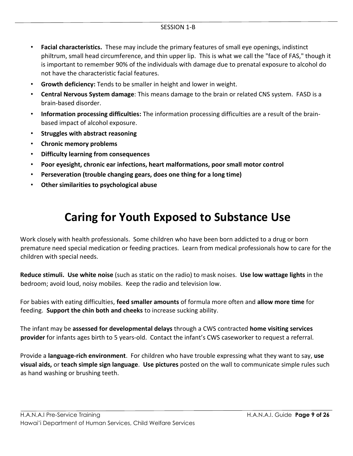- **Facial characteristics.** These may include the primary features of small eye openings, indistinct philtrum, small head circumference, and thin upper lip. This is what we call the "face of FAS," though it is important to remember 90% of the individuals with damage due to prenatal exposure to alcohol do not have the characteristic facial features.
- **Growth deficiency:** Tends to be smaller in height and lower in weight.
- **Central Nervous System damage**: This means damage to the brain or related CNS system. FASD is a brain-based disorder.
- **Information processing difficulties:** The information processing difficulties are a result of the brainbased impact of alcohol exposure.
- **Struggles with abstract reasoning**
- **Chronic memory problems**
- **Difficulty learning from consequences**
- **Poor eyesight, chronic ear infections, heart malformations, poor small motor control**
- **Perseveration (trouble changing gears, does one thing for a long time)**
- **Other similarities to psychological abuse**

### **Caring for Youth Exposed to Substance Use**

Work closely with health professionals. Some children who have been born addicted to a drug or born premature need special medication or feeding practices. Learn from medical professionals how to care for the children with special needs.

**Reduce stimuli. Use white noise** (such as static on the radio) to mask noises. **Use low wattage lights** in the bedroom; avoid loud, noisy mobiles. Keep the radio and television low.

For babies with eating difficulties, **feed smaller amounts** of formula more often and **allow more time** for feeding. **Support the chin both and cheeks** to increase sucking ability.

The infant may be **assessed for developmental delays** through a CWS contracted **home visiting services provider** for infants ages birth to 5 years-old. Contact the infant's CWS caseworker to request a referral.

Provide a **language-rich environment**. For children who have trouble expressing what they want to say, **use visual aids,** or **teach simple sign language**. **Use pictures** posted on the wall to communicate simple rules such as hand washing or brushing teeth.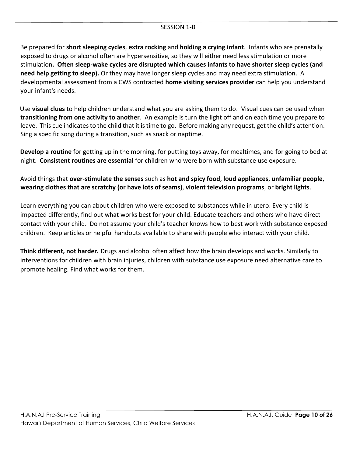#### SESSION 1-B

Be prepared for **short sleeping cycles**, **extra rocking** and **holding a crying infant**. Infants who are prenatally exposed to drugs or alcohol often are hypersensitive, so they will either need less stimulation or more stimulation**. Often sleep-wake cycles are disrupted which causes infants to have shorter sleep cycles (and need help getting to sleep).** Or they may have longer sleep cycles and may need extra stimulation. A developmental assessment from a CWS contracted **home visiting services provider** can help you understand your infant's needs.

Use **visual clues** to help children understand what you are asking them to do. Visual cues can be used when **transitioning from one activity to another**. An example is turn the light off and on each time you prepare to leave. This cue indicates to the child that it istime to go. Before making any request, get the child's attention. Sing a specific song during a transition, such as snack or naptime.

**Develop a routine** for getting up in the morning, for putting toys away, for mealtimes, and for going to bed at night. **Consistent routines are essential** for children who were born with substance use exposure.

Avoid things that **over-stimulate the senses** such as **hot and spicy food**, **loud appliances**, **unfamiliar people**, **wearing clothes that are scratchy (or have lots of seams)**, **violent television programs**, or **bright lights**.

Learn everything you can about children who were exposed to substances while in utero. Every child is impacted differently, find out what works best for your child. Educate teachers and others who have direct contact with your child. Do not assume your child's teacher knows how to best work with substance exposed children. Keep articles or helpful handouts available to share with people who interact with your child.

**Think different, not harder.** Drugs and alcohol often affect how the brain develops and works. Similarly to interventions for children with brain injuries, children with substance use exposure need alternative care to promote healing. Find what works for them.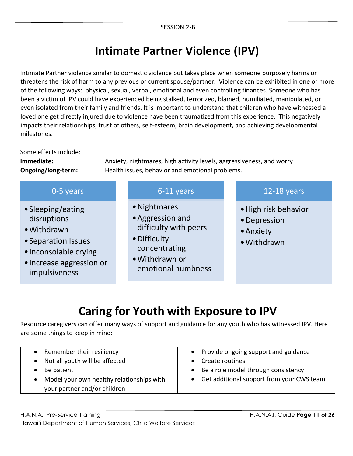### **Intimate Partner Violence (IPV)**

Intimate Partner violence similar to domestic violence but takes place when someone purposely harms or threatens the risk of harm to any previous or current spouse/partner. Violence can be exhibited in one or more of the following ways: physical, sexual, verbal, emotional and even controlling finances. Someone who has been a victim of IPV could have experienced being stalked, terrorized, blamed, humiliated, manipulated, or even isolated from their family and friends. It is important to understand that children who have witnessed a loved one get directly injured due to violence have been traumatized from this experience. This negatively impacts their relationships, trust of others, self-esteem, brain development, and achieving developmental milestones.

Some effects include:

**Immediate:** Anxiety, nightmares, high activity levels, aggressiveness, and worry **Ongoing/long-term:** Health issues, behavior and emotional problems.

| 0-5 years                                                                                                                                    | 6-11 years                                                                                                                         | 12-18 years                                                      |
|----------------------------------------------------------------------------------------------------------------------------------------------|------------------------------------------------------------------------------------------------------------------------------------|------------------------------------------------------------------|
| • Sleeping/eating<br>disruptions<br>• Withdrawn<br>• Separation Issues<br>• Inconsolable crying<br>· Increase aggression or<br>impulsiveness | • Nightmares<br>• Aggression and<br>difficulty with peers<br>• Difficulty<br>concentrating<br>• Withdrawn or<br>emotional numbness | • High risk behavior<br>• Depression<br>• Anxiety<br>• Withdrawn |

## **Caring for Youth with Exposure to IPV**

Resource caregivers can offer many ways of support and guidance for any youth who has witnessed IPV. Here are some things to keep in mind:

| Remember their resiliency                 | Provide ongoing support and guidance      |
|-------------------------------------------|-------------------------------------------|
| Not all youth will be affected            | Create routines                           |
| Be patient                                | Be a role model through consistency       |
| Model your own healthy relationships with | Get additional support from your CWS team |
| your partner and/or children              |                                           |
|                                           |                                           |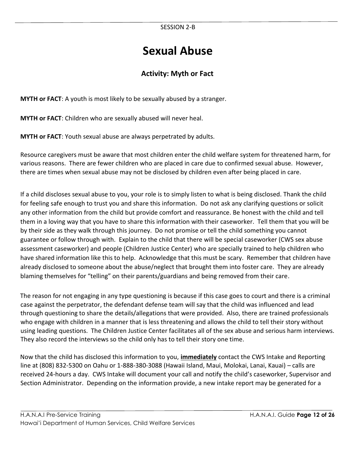### **Sexual Abuse**

### **Activity: Myth or Fact**

**MYTH or FACT**: A youth is most likely to be sexually abused by a stranger.

**MYTH or FACT**: Children who are sexually abused will never heal.

**MYTH or FACT**: Youth sexual abuse are always perpetrated by adults.

Resource caregivers must be aware that most children enter the child welfare system for threatened harm, for various reasons. There are fewer children who are placed in care due to confirmed sexual abuse. However, there are times when sexual abuse may not be disclosed by children even after being placed in care.

If a child discloses sexual abuse to you, your role is to simply listen to what is being disclosed. Thank the child for feeling safe enough to trust you and share this information. Do not ask any clarifying questions or solicit any other information from the child but provide comfort and reassurance. Be honest with the child and tell them in a loving way that you have to share this information with their caseworker. Tell them that you will be by their side as they walk through this journey. Do not promise or tell the child something you cannot guarantee or follow through with. Explain to the child that there will be special caseworker (CWS sex abuse assessment caseworker) and people (Children Justice Center) who are specially trained to help children who have shared information like this to help. Acknowledge that this must be scary. Remember that children have already disclosed to someone about the abuse/neglect that brought them into foster care. They are already blaming themselves for "telling" on their parents/guardians and being removed from their care.

The reason for not engaging in any type questioning is because if this case goes to court and there is a criminal case against the perpetrator, the defendant defense team will say that the child was influenced and lead through questioning to share the details/allegations that were provided. Also, there are trained professionals who engage with children in a manner that is less threatening and allows the child to tell their story without using leading questions. The Children Justice Center facilitates all of the sex abuse and serious harm interviews. They also record the interviews so the child only has to tell their story one time.

Now that the child has disclosed this information to you, **immediately** contact the CWS Intake and Reporting line at (808) 832-5300 on Oahu or 1-888-380-3088 (Hawaii Island, Maui, Molokai, Lanai, Kauai) – calls are received 24-hours a day. CWS Intake will document your call and notify the child's caseworker, Supervisor and Section Administrator. Depending on the information provide, a new intake report may be generated for a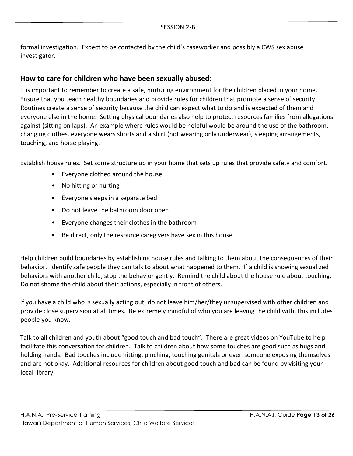formal investigation. Expect to be contacted by the child's caseworker and possibly a CWS sex abuse investigator.

### **How to care for children who have been sexually abused:**

It is important to remember to create a safe, nurturing environment for the children placed in your home. Ensure that you teach healthy boundaries and provide rules for children that promote a sense of security. Routines create a sense of security because the child can expect what to do and is expected of them and everyone else in the home. Setting physical boundaries also help to protect resources families from allegations against (sitting on laps). An example where rules would be helpful would be around the use of the bathroom, changing clothes, everyone wears shorts and a shirt (not wearing only underwear), sleeping arrangements, touching, and horse playing.

Establish house rules. Set some structure up in your home that sets up rules that provide safety and comfort.

- Everyone clothed around the house
- No hitting or hurting
- Everyone sleeps in a separate bed
- Do not leave the bathroom door open
- Everyone changes their clothes in the bathroom
- Be direct, only the resource caregivers have sex in this house

Help children build boundaries by establishing house rules and talking to them about the consequences of their behavior. Identify safe people they can talk to about what happened to them. If a child is showing sexualized behaviors with another child, stop the behavior gently. Remind the child about the house rule about touching. Do not shame the child about their actions, especially in front of others.

If you have a child who is sexually acting out, do not leave him/her/they unsupervised with other children and provide close supervision at all times. Be extremely mindful of who you are leaving the child with, this includes people you know.

Talk to all children and youth about "good touch and bad touch". There are great videos on YouTube to help facilitate this conversation for children. Talk to children about how some touches are good such as hugs and holding hands. Bad touches include hitting, pinching, touching genitals or even someone exposing themselves and are not okay. Additional resources for children about good touch and bad can be found by visiting your local library.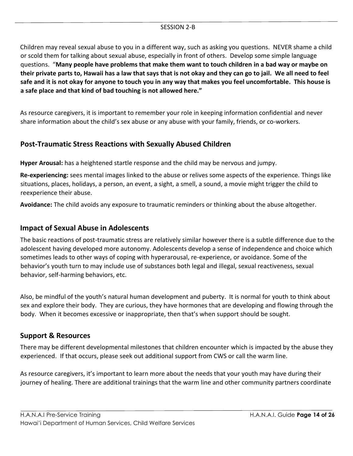Children may reveal sexual abuse to you in a different way, such as asking you questions. NEVER shame a child or scold them for talking about sexual abuse, especially in front of others. Develop some simple language questions. "**Many people have problems that make them want to touch children in a bad way or maybe on their private parts to, Hawaii has a law that says that is not okay and they can go to jail. We all need to feel safe and it is not okay for anyone to touch you in any way that makes you feel uncomfortable. This house is a safe place and that kind of bad touching is not allowed here."** 

As resource caregivers, it is important to remember your role in keeping information confidential and never share information about the child's sex abuse or any abuse with your family, friends, or co-workers.

### **Post-Traumatic Stress Reactions with Sexually Abused Children**

**Hyper Arousal:** has a heightened startle response and the child may be nervous and jumpy.

**Re-experiencing:** sees mental images linked to the abuse or relives some aspects of the experience. Things like situations, places, holidays, a person, an event, a sight, a smell, a sound, a movie might trigger the child to reexperience their abuse.

**Avoidance:** The child avoids any exposure to traumatic reminders or thinking about the abuse altogether.

### **Impact of Sexual Abuse in Adolescents**

The basic reactions of post-traumatic stress are relatively similar however there is a subtle difference due to the adolescent having developed more autonomy. Adolescents develop a sense of independence and choice which sometimes leads to other ways of coping with hyperarousal, re-experience, or avoidance. Some of the behavior's youth turn to may include use of substances both legal and illegal, sexual reactiveness, sexual behavior, self-harming behaviors, etc.

Also, be mindful of the youth's natural human development and puberty. It is normal for youth to think about sex and explore their body. They are curious, they have hormones that are developing and flowing through the body. When it becomes excessive or inappropriate, then that's when support should be sought.

### **Support & Resources**

There may be different developmental milestones that children encounter which is impacted by the abuse they experienced. If that occurs, please seek out additional support from CWS or call the warm line.

As resource caregivers, it's important to learn more about the needs that your youth may have during their journey of healing. There are additional trainings that the warm line and other community partners coordinate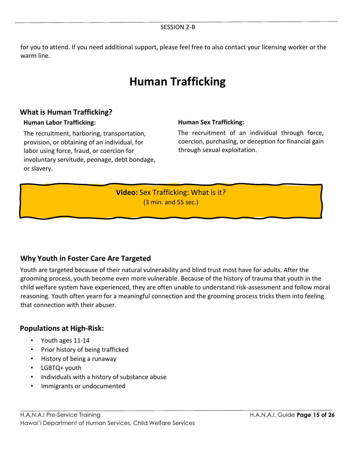for you to attend. If you need additional support, please feel free to also contact your licensing worker or the warm line.

### **Human Trafficking**

### **What is Human Trafficking?**

#### **Human Labor Trafficking:**

The recruitment, harboring, transportation, provision, or obtaining of an individual, for labor using force, fraud, or coercion for involuntary servitude, peonage, debt bondage, or slavery.

#### **Human Sex Trafficking:**

The recruitment of an individual through force, coercion, purchasing, or deception for financial gain through sexual exploitation.

**Video:** Sex Trafficking: What is it? (3 min. and 55 sec.)

### **Why Youth in Foster Care Are Targeted**

Youth are targeted because of their natural vulnerability and blind trust most have for adults. After the grooming process, youth become even more vulnerable. Because of the history of trauma that youth in the child welfare system have experienced, they are often unable to understand risk-assessment and follow moral reasoning. Youth often yearn for a meaningful connection and the grooming process tricks them into feeling that connection with their abuser.

### **Populations at High-Risk:**

- Youth ages 11-14
- Prior history of being trafficked
- History of being a runaway
- LGBTQ+ youth
- Individuals with a history of substance abuse
- Immigrants or undocumented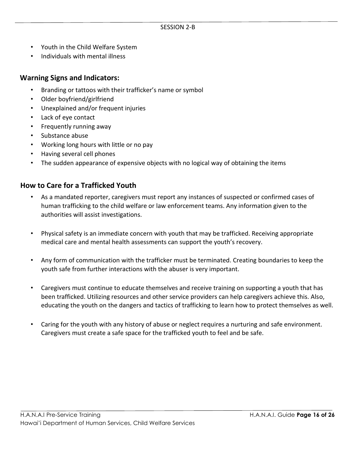- Youth in the Child Welfare System
- Individuals with mental illness

### **Warning Signs and Indicators:**

- Branding or tattoos with their trafficker's name or symbol
- Older boyfriend/girlfriend
- Unexplained and/or frequent injuries
- Lack of eye contact
- Frequently running away
- Substance abuse
- Working long hours with little or no pay
- Having several cell phones
- The sudden appearance of expensive objects with no logical way of obtaining the items

### **How to Care for a Trafficked Youth**

- As a mandated reporter, caregivers must report any instances of suspected or confirmed cases of human trafficking to the child welfare or law enforcement teams. Any information given to the authorities will assist investigations.
- Physical safety is an immediate concern with youth that may be trafficked. Receiving appropriate medical care and mental health assessments can support the youth's recovery.
- Any form of communication with the trafficker must be terminated. Creating boundaries to keep the youth safe from further interactions with the abuser is very important.
- Caregivers must continue to educate themselves and receive training on supporting a youth that has been trafficked. Utilizing resources and other service providers can help caregivers achieve this. Also, educating the youth on the dangers and tactics of trafficking to learn how to protect themselves as well.
- Caring for the youth with any history of abuse or neglect requires a nurturing and safe environment. Caregivers must create a safe space for the trafficked youth to feel and be safe.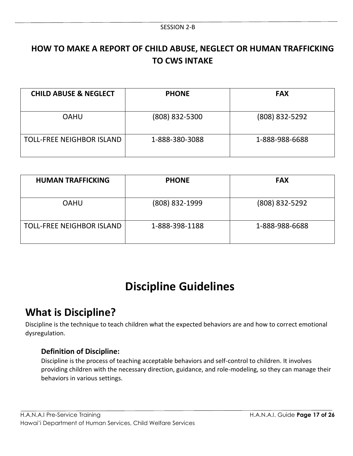### **HOW TO MAKE A REPORT OF CHILD ABUSE, NEGLECT OR HUMAN TRAFFICKING TO CWS INTAKE**

| <b>CHILD ABUSE &amp; NEGLECT</b> | <b>PHONE</b>   | <b>FAX</b>     |
|----------------------------------|----------------|----------------|
| <b>OAHU</b>                      | (808) 832-5300 | (808) 832-5292 |
| <b>TOLL-FREE NEIGHBOR ISLAND</b> | 1-888-380-3088 | 1-888-988-6688 |

| <b>HUMAN TRAFFICKING</b>         | <b>PHONE</b>   | <b>FAX</b>     |
|----------------------------------|----------------|----------------|
| <b>OAHU</b>                      | (808) 832-1999 | (808) 832-5292 |
| <b>TOLL-FREE NEIGHBOR ISLAND</b> | 1-888-398-1188 | 1-888-988-6688 |

### **Discipline Guidelines**

### **What is Discipline?**

Discipline is the technique to teach children what the expected behaviors are and how to correct emotional dysregulation.

### **Definition of Discipline:**

Discipline is the process of teaching acceptable behaviors and self-control to children. It involves providing children with the necessary direction, guidance, and role-modeling, so they can manage their behaviors in various settings.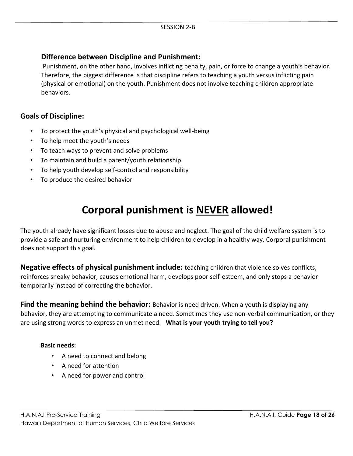### **Difference between Discipline and Punishment:**

Punishment, on the other hand, involves inflicting penalty, pain, or force to change a youth's behavior. Therefore, the biggest difference is that discipline refers to teaching a youth versus inflicting pain (physical or emotional) on the youth. Punishment does not involve teaching children appropriate behaviors.

### **Goals of Discipline:**

- To protect the youth's physical and psychological well-being
- To help meet the youth's needs
- To teach ways to prevent and solve problems
- To maintain and build a parent/youth relationship
- To help youth develop self-control and responsibility
- To produce the desired behavior

### **Corporal punishment is NEVER allowed!**

The youth already have significant losses due to abuse and neglect. The goal of the child welfare system is to provide a safe and nurturing environment to help children to develop in a healthy way. Corporal punishment does not support this goal.

**Negative effects of physical punishment include:** teaching children that violence solves conflicts, reinforces sneaky behavior, causes emotional harm, develops poor self-esteem, and only stops a behavior temporarily instead of correcting the behavior.

**Find the meaning behind the behavior:** Behavior is need driven. When a youth is displaying any behavior, they are attempting to communicate a need. Sometimes they use non-verbal communication, or they are using strong words to express an unmet need. **What is your youth trying to tell you?**

#### **Basic needs:**

- A need to connect and belong
- A need for attention
- A need for power and control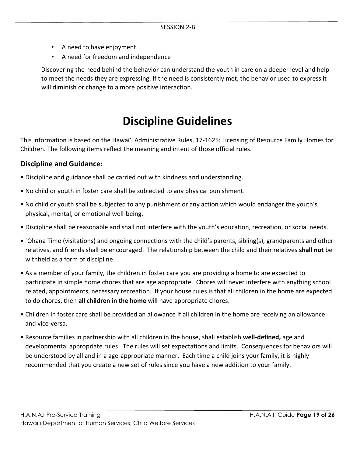- A need to have enjoyment
- A need for freedom and independence

Discovering the need behind the behavior can understand the youth in care on a deeper level and help to meet the needs they are expressing. If the need is consistently met, the behavior used to express it will diminish or change to a more positive interaction.

### **Discipline Guidelines**

This information is based on the Hawai'i Administrative Rules, 17-1625: Licensing of Resource Family Homes for Children. The following items reflect the meaning and intent of those official rules.

### **Discipline and Guidance:**

- Discipline and guidance shall be carried out with kindness and understanding.
- No child or youth in foster care shall be subjected to any physical punishment.
- No child or youth shall be subjected to any punishment or any action which would endanger the youth's physical, mental, or emotional well-being.
- Discipline shall be reasonable and shall not interfere with the youth's education, recreation, or social needs.
- `Ohana Time (visitations) and ongoing connections with the child's parents, sibling(s), grandparents and other relatives, and friends shall be encouraged. The relationship between the child and their relatives **shall not** be withheld as a form of discipline.
- As a member of your family, the children in foster care you are providing a home to are expected to participate in simple home chores that are age appropriate. Chores will never interfere with anything school related, appointments, necessary recreation. If your house rules is that all children in the home are expected to do chores, then **all children in the home** will have appropriate chores.
- Children in foster care shall be provided an allowance if all children in the home are receiving an allowance and vice-versa.
- Resource families in partnership with all children in the house, shall establish **well-defined,** age and developmental appropriate rules. The rules will set expectations and limits. Consequences for behaviors will be understood by all and in a age-appropriate manner. Each time a child joins your family, it is highly recommended that you create a new set of rules since you have a new addition to your family.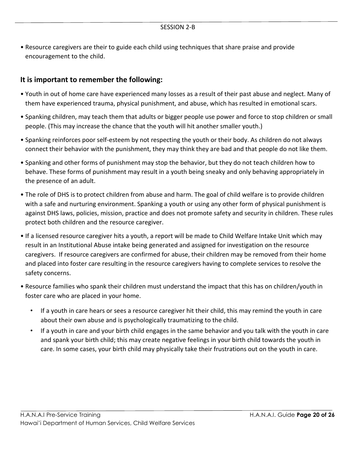• Resource caregivers are their to guide each child using techniques that share praise and provide encouragement to the child.

### **It is important to remember the following:**

- Youth in out of home care have experienced many losses as a result of their past abuse and neglect. Many of them have experienced trauma, physical punishment, and abuse, which has resulted in emotional scars.
- Spanking children, may teach them that adults or bigger people use power and force to stop children or small people. (This may increase the chance that the youth will hit another smaller youth.)
- Spanking reinforces poor self-esteem by not respecting the youth or their body. As children do not always connect their behavior with the punishment, they may think they are bad and that people do not like them.
- Spanking and other forms of punishment may stop the behavior, but they do not teach children how to behave. These forms of punishment may result in a youth being sneaky and only behaving appropriately in the presence of an adult.
- The role of DHS is to protect children from abuse and harm. The goal of child welfare is to provide children with a safe and nurturing environment. Spanking a youth or using any other form of physical punishment is against DHS laws, policies, mission, practice and does not promote safety and security in children. These rules protect both children and the resource caregiver.
- If a licensed resource caregiver hits a youth, a report will be made to Child Welfare Intake Unit which may result in an Institutional Abuse intake being generated and assigned for investigation on the resource caregivers. If resource caregivers are confirmed for abuse, their children may be removed from their home and placed into foster care resulting in the resource caregivers having to complete services to resolve the safety concerns.
- Resource families who spank their children must understand the impact that this has on children/youth in foster care who are placed in your home.
	- If a youth in care hears or sees a resource caregiver hit their child, this may remind the youth in care about their own abuse and is psychologically traumatizing to the child.
	- If a youth in care and your birth child engages in the same behavior and you talk with the youth in care and spank your birth child; this may create negative feelings in your birth child towards the youth in care. In some cases, your birth child may physically take their frustrations out on the youth in care.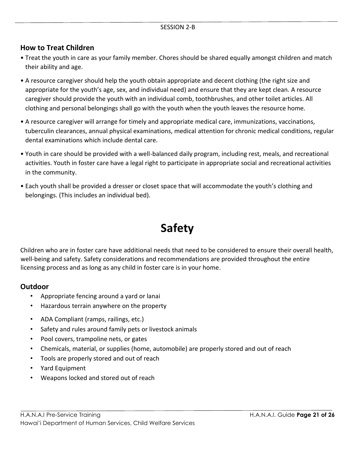### **How to Treat Children**

- Treat the youth in care as your family member. Chores should be shared equally amongst children and match their ability and age.
- A resource caregiver should help the youth obtain appropriate and decent clothing (the right size and appropriate for the youth's age, sex, and individual need) and ensure that they are kept clean. A resource caregiver should provide the youth with an individual comb, toothbrushes, and other toilet articles. All clothing and personal belongings shall go with the youth when the youth leaves the resource home.
- A resource caregiver will arrange for timely and appropriate medical care, immunizations, vaccinations, tuberculin clearances, annual physical examinations, medical attention for chronic medical conditions, regular dental examinations which include dental care.
- Youth in care should be provided with a well-balanced daily program, including rest, meals, and recreational activities. Youth in foster care have a legal right to participate in appropriate social and recreational activities in the community.
- Each youth shall be provided a dresser or closet space that will accommodate the youth's clothing and belongings. (This includes an individual bed).

## **Safety**

Children who are in foster care have additional needs that need to be considered to ensure their overall health, well-being and safety. Safety considerations and recommendations are provided throughout the entire licensing process and as long as any child in foster care is in your home.

### **Outdoor**

- Appropriate fencing around a yard or lanai
- Hazardous terrain anywhere on the property
- ADA Compliant (ramps, railings, etc.)
- Safety and rules around family pets or livestock animals
- Pool covers, trampoline nets, or gates
- Chemicals, material, or supplies (home, automobile) are properly stored and out of reach
- Tools are properly stored and out of reach
- Yard Equipment
- Weapons locked and stored out of reach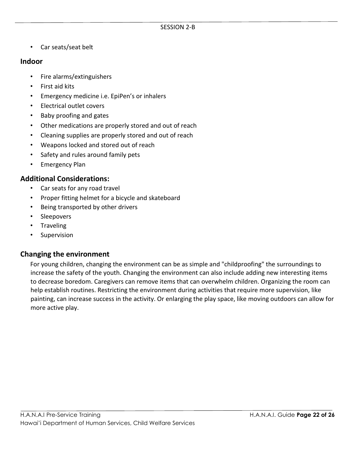• Car seats/seat belt

### **Indoor**

- Fire alarms/extinguishers
- First aid kits
- Emergency medicine i.e. EpiPen's or inhalers
- Electrical outlet covers
- Baby proofing and gates
- Other medications are properly stored and out of reach
- Cleaning supplies are properly stored and out of reach
- Weapons locked and stored out of reach
- Safety and rules around family pets
- Emergency Plan

### **Additional Considerations:**

- Car seats for any road travel
- Proper fitting helmet for a bicycle and skateboard
- Being transported by other drivers
- Sleepovers
- Traveling
- **Supervision**

### **Changing the environment**

For young children, changing the environment can be as simple and "childproofing" the surroundings to increase the safety of the youth. Changing the environment can also include adding new interesting items to decrease boredom. Caregivers can remove items that can overwhelm children. Organizing the room can help establish routines. Restricting the environment during activities that require more supervision, like painting, can increase success in the activity. Or enlarging the play space, like moving outdoors can allow for more active play.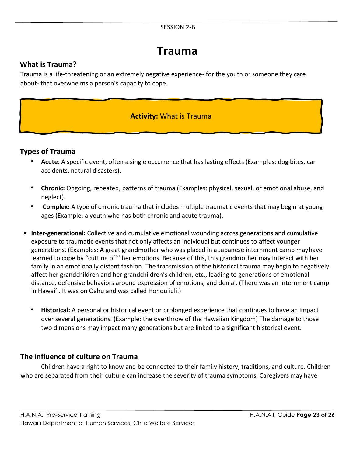#### SESSION 2-B

### **Trauma**

### **What is Trauma?**

Trauma is a life-threatening or an extremely negative experience- for the youth or someone they care about- that overwhelms a person's capacity to cope.

### **Activity:** What is Trauma

### **Types of Trauma**

- **Acute**: A specific event, often a single occurrence that has lasting effects (Examples: dog bites, car accidents, natural disasters).
- **Chronic:** Ongoing, repeated, patterns of trauma (Examples: physical, sexual, or emotional abuse, and neglect).
- **Complex:** A type of chronic trauma that includes multiple traumatic events that may begin at young ages (Example: a youth who has both chronic and acute trauma).
- **Inter-generational:** Collective and cumulative emotional wounding across generations and cumulative exposure to traumatic events that not only affects an individual but continues to affect younger generations. (Examples: A great grandmother who was placed in a Japanese internment camp mayhave learned to cope by "cutting off" her emotions. Because of this, this grandmother may interact with her family in an emotionally distant fashion. The transmission of the historical trauma may begin to negatively affect her grandchildren and her grandchildren's children, etc., leading to generations of emotional distance, defensive behaviors around expression of emotions, and denial. (There was an internment camp in Hawai'i. It was on Oahu and was called Honouliuli.)
	- **Historical:** A personal or historical event or prolonged experience that continues to have an impact over several generations. (Example: the overthrow of the Hawaiian Kingdom) The damage to those two dimensions may impact many generations but are linked to a significant historical event.

### **The influence of culture on Trauma**

Children have a right to know and be connected to their family history, traditions, and culture. Children who are separated from their culture can increase the severity of trauma symptoms. Caregivers may have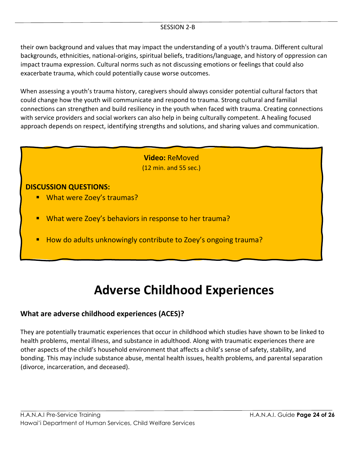their own background and values that may impact the understanding of a youth's trauma. Different cultural backgrounds, ethnicities, national-origins, spiritual beliefs, traditions/language, and history of oppression can impact trauma expression. Cultural norms such as not discussing emotions or feelings that could also exacerbate trauma, which could potentially cause worse outcomes.

When assessing a youth's trauma history, caregivers should always consider potential cultural factors that could change how the youth will communicate and respond to trauma. Strong cultural and familial connections can strengthen and build resiliency in the youth when faced with trauma. Creating connections with service providers and social workers can also help in being culturally competent. A healing focused approach depends on respect, identifying strengths and solutions, and sharing values and communication.

> **Video:** ReMoved (12 min. and 55 sec.)

### **DISCUSSION QUESTIONS:**

- What were Zoey's traumas?
- What were Zoey's behaviors in response to her trauma?
- How do adults unknowingly contribute to Zoey's ongoing trauma?

## **Adverse Childhood Experiences**

### **What are adverse childhood experiences (ACES)?**

They are potentially traumatic experiences that occur in childhood which studies have shown to be linked to health problems, mental illness, and substance in adulthood. Along with traumatic experiences there are other aspects of the child's household environment that affects a child's sense of safety, stability, and bonding. This may include substance abuse, mental health issues, health problems, and parental separation (divorce, incarceration, and deceased).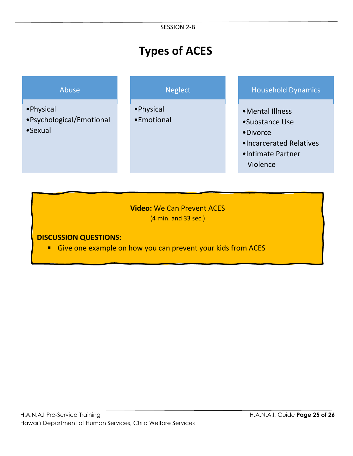## **Types of ACES**

- •Physical
- •Psychological/Emotional
- •Sexual

•Physical •Emotional

### Abuse Neglect Neglect Household Dynamics

- •Mental Illness
- •Substance Use
- •Divorce
- •Incarcerated Relatives
- •Intimate Partner Violence

### **Video:** We Can Prevent ACES (4 min. and 33 sec.)

### **DISCUSSION QUESTIONS:**

■ Give one example on how you can prevent your kids from ACES